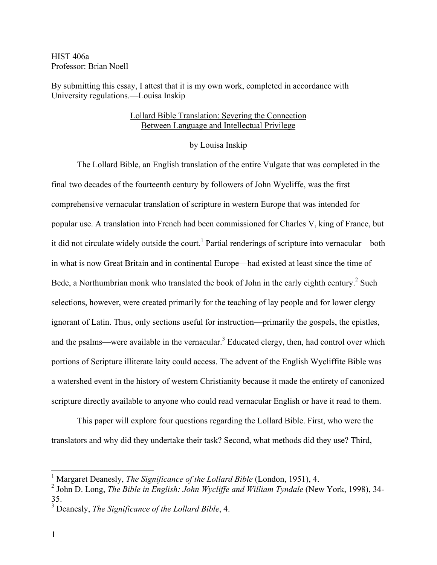HIST 406a Professor: Brian Noell

By submitting this essay, I attest that it is my own work, completed in accordance with University regulations.—Louisa Inskip

## Lollard Bible Translation: Severing the Connection Between Language and Intellectual Privilege

## by Louisa Inskip

The Lollard Bible, an English translation of the entire Vulgate that was completed in the final two decades of the fourteenth century by followers of John Wycliffe, was the first comprehensive vernacular translation of scripture in western Europe that was intended for popular use. A translation into French had been commissioned for Charles V, king of France, but it did not circulate widely outside the court.<sup>1</sup> Partial renderings of scripture into vernacular—both in what is now Great Britain and in continental Europe—had existed at least since the time of Bede, a Northumbrian monk who translated the book of John in the early eighth century.<sup>2</sup> Such selections, however, were created primarily for the teaching of lay people and for lower clergy ignorant of Latin. Thus, only sections useful for instruction—primarily the gospels, the epistles, and the psalms—were available in the vernacular.<sup>3</sup> Educated clergy, then, had control over which portions of Scripture illiterate laity could access. The advent of the English Wycliffite Bible was a watershed event in the history of western Christianity because it made the entirety of canonized scripture directly available to anyone who could read vernacular English or have it read to them.

This paper will explore four questions regarding the Lollard Bible. First, who were the translators and why did they undertake their task? Second, what methods did they use? Third,

 <sup>1</sup> Margaret Deanesly, *The Significance of the Lollard Bible* (London, 1951), 4.

<sup>2</sup> John D. Long, *The Bible in English: John Wycliffe and William Tyndale* (New York, 1998), 34- 35.

<sup>3</sup> Deanesly, *The Significance of the Lollard Bible*, 4.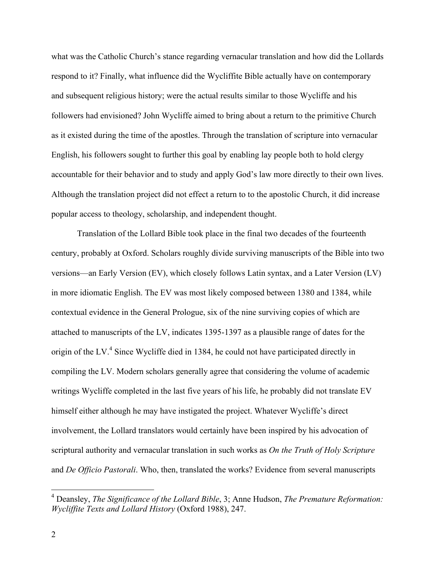what was the Catholic Church's stance regarding vernacular translation and how did the Lollards respond to it? Finally, what influence did the Wycliffite Bible actually have on contemporary and subsequent religious history; were the actual results similar to those Wycliffe and his followers had envisioned? John Wycliffe aimed to bring about a return to the primitive Church as it existed during the time of the apostles. Through the translation of scripture into vernacular English, his followers sought to further this goal by enabling lay people both to hold clergy accountable for their behavior and to study and apply God's law more directly to their own lives. Although the translation project did not effect a return to to the apostolic Church, it did increase popular access to theology, scholarship, and independent thought.

Translation of the Lollard Bible took place in the final two decades of the fourteenth century, probably at Oxford. Scholars roughly divide surviving manuscripts of the Bible into two versions—an Early Version (EV), which closely follows Latin syntax, and a Later Version (LV) in more idiomatic English. The EV was most likely composed between 1380 and 1384, while contextual evidence in the General Prologue, six of the nine surviving copies of which are attached to manuscripts of the LV, indicates 1395-1397 as a plausible range of dates for the origin of the LV.<sup>4</sup> Since Wycliffe died in 1384, he could not have participated directly in compiling the LV. Modern scholars generally agree that considering the volume of academic writings Wycliffe completed in the last five years of his life, he probably did not translate EV himself either although he may have instigated the project. Whatever Wycliffe's direct involvement, the Lollard translators would certainly have been inspired by his advocation of scriptural authority and vernacular translation in such works as *On the Truth of Holy Scripture* and *De Officio Pastorali*. Who, then, translated the works? Evidence from several manuscripts

 <sup>4</sup> Deansley, *The Significance of the Lollard Bible*, 3; Anne Hudson, *The Premature Reformation: Wycliffite Texts and Lollard History* (Oxford 1988), 247.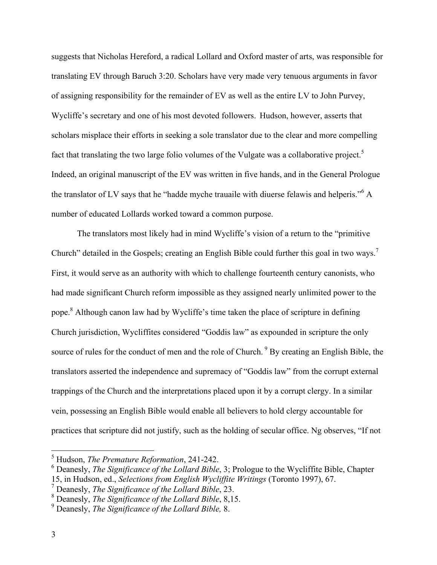suggests that Nicholas Hereford, a radical Lollard and Oxford master of arts, was responsible for translating EV through Baruch 3:20. Scholars have very made very tenuous arguments in favor of assigning responsibility for the remainder of EV as well as the entire LV to John Purvey, Wycliffe's secretary and one of his most devoted followers. Hudson, however, asserts that scholars misplace their efforts in seeking a sole translator due to the clear and more compelling fact that translating the two large folio volumes of the Vulgate was a collaborative project.<sup>5</sup> Indeed, an original manuscript of the EV was written in five hands, and in the General Prologue the translator of LV says that he "hadde myche trauaile with diuerse felawis and helperis."  $\alpha$ number of educated Lollards worked toward a common purpose.

The translators most likely had in mind Wycliffe's vision of a return to the "primitive Church" detailed in the Gospels; creating an English Bible could further this goal in two ways.<sup>7</sup> First, it would serve as an authority with which to challenge fourteenth century canonists, who had made significant Church reform impossible as they assigned nearly unlimited power to the pope.<sup>8</sup> Although canon law had by Wycliffe's time taken the place of scripture in defining Church jurisdiction, Wycliffites considered "Goddis law" as expounded in scripture the only source of rules for the conduct of men and the role of Church. <sup>9</sup> By creating an English Bible, the translators asserted the independence and supremacy of "Goddis law" from the corrupt external trappings of the Church and the interpretations placed upon it by a corrupt clergy. In a similar vein, possessing an English Bible would enable all believers to hold clergy accountable for practices that scripture did not justify, such as the holding of secular office. Ng observes, "If not

 <sup>5</sup> Hudson, *The Premature Reformation*, 241-242.

<sup>6</sup> Deanesly, *The Significance of the Lollard Bible*, 3; Prologue to the Wycliffite Bible, Chapter

<sup>15,</sup> in Hudson, ed., *Selections from English Wycliffite Writings* (Toronto 1997), 67.

<sup>7</sup> Deanesly, *The Significance of the Lollard Bible*, 23.

<sup>8</sup> Deanesly, *The Significance of the Lollard Bible*, 8,15.

<sup>9</sup> Deanesly, *The Significance of the Lollard Bible,* 8.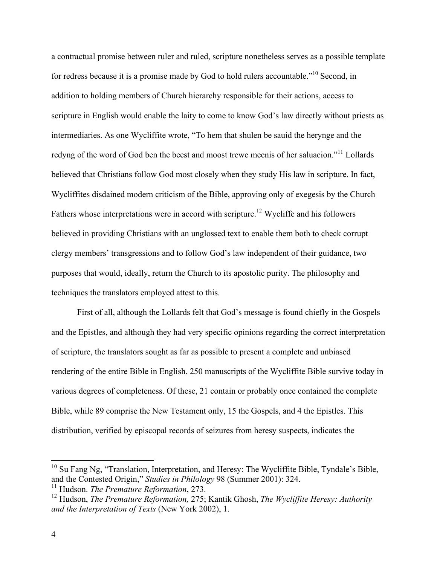a contractual promise between ruler and ruled, scripture nonetheless serves as a possible template for redress because it is a promise made by God to hold rulers accountable.<sup>"10</sup> Second, in addition to holding members of Church hierarchy responsible for their actions, access to scripture in English would enable the laity to come to know God's law directly without priests as intermediaries. As one Wycliffite wrote, "To hem that shulen be sauid the herynge and the redyng of the word of God ben the beest and moost trewe meenis of her saluacion."11 Lollards believed that Christians follow God most closely when they study His law in scripture. In fact, Wycliffites disdained modern criticism of the Bible, approving only of exegesis by the Church Fathers whose interpretations were in accord with scripture.<sup>12</sup> Wycliffe and his followers believed in providing Christians with an unglossed text to enable them both to check corrupt clergy members' transgressions and to follow God's law independent of their guidance, two purposes that would, ideally, return the Church to its apostolic purity. The philosophy and techniques the translators employed attest to this.

First of all, although the Lollards felt that God's message is found chiefly in the Gospels and the Epistles, and although they had very specific opinions regarding the correct interpretation of scripture, the translators sought as far as possible to present a complete and unbiased rendering of the entire Bible in English. 250 manuscripts of the Wycliffite Bible survive today in various degrees of completeness. Of these, 21 contain or probably once contained the complete Bible, while 89 comprise the New Testament only, 15 the Gospels, and 4 the Epistles. This distribution, verified by episcopal records of seizures from heresy suspects, indicates the

<sup>&</sup>lt;sup>10</sup> Su Fang Ng, "Translation, Interpretation, and Heresy: The Wycliffite Bible, Tyndale's Bible, and the Contested Origin," *Studies in Philology* 98 (Summer 2001): 324.

<sup>11</sup> Hudson. *The Premature Reformation*, 273.

<sup>12</sup> Hudson, *The Premature Reformation,* 275; Kantik Ghosh, *The Wycliffite Heresy: Authority and the Interpretation of Texts* (New York 2002), 1.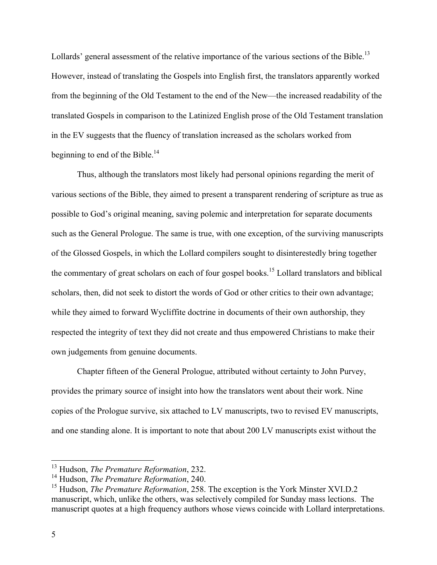Lollards' general assessment of the relative importance of the various sections of the Bible.<sup>13</sup> However, instead of translating the Gospels into English first, the translators apparently worked from the beginning of the Old Testament to the end of the New—the increased readability of the translated Gospels in comparison to the Latinized English prose of the Old Testament translation in the EV suggests that the fluency of translation increased as the scholars worked from beginning to end of the Bible.<sup>14</sup>

Thus, although the translators most likely had personal opinions regarding the merit of various sections of the Bible, they aimed to present a transparent rendering of scripture as true as possible to God's original meaning, saving polemic and interpretation for separate documents such as the General Prologue. The same is true, with one exception, of the surviving manuscripts of the Glossed Gospels, in which the Lollard compilers sought to disinterestedly bring together the commentary of great scholars on each of four gospel books.<sup>15</sup> Lollard translators and biblical scholars, then, did not seek to distort the words of God or other critics to their own advantage; while they aimed to forward Wycliffite doctrine in documents of their own authorship, they respected the integrity of text they did not create and thus empowered Christians to make their own judgements from genuine documents.

Chapter fifteen of the General Prologue, attributed without certainty to John Purvey, provides the primary source of insight into how the translators went about their work. Nine copies of the Prologue survive, six attached to LV manuscripts, two to revised EV manuscripts, and one standing alone. It is important to note that about 200 LV manuscripts exist without the

 <sup>13</sup> Hudson, *The Premature Reformation*, 232.

<sup>14</sup> Hudson, *The Premature Reformation*, 240.

<sup>&</sup>lt;sup>15</sup> Hudson, *The Premature Reformation*, 258. The exception is the York Minster XVI.D.2 manuscript, which, unlike the others, was selectively compiled for Sunday mass lections. The manuscript quotes at a high frequency authors whose views coincide with Lollard interpretations.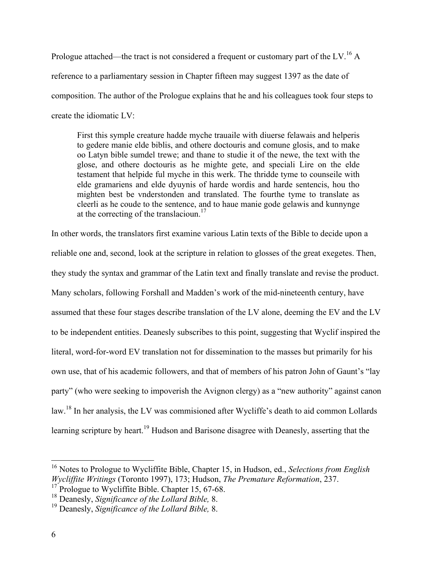Prologue attached—the tract is not considered a frequent or customary part of the LV.<sup>16</sup> A reference to a parliamentary session in Chapter fifteen may suggest 1397 as the date of composition. The author of the Prologue explains that he and his colleagues took four steps to create the idiomatic LV:

First this symple creature hadde myche trauaile with diuerse felawais and helperis to gedere manie elde biblis, and othere doctouris and comune glosis, and to make oo Latyn bible sumdel trewe; and thane to studie it of the newe, the text with the glose, and othere doctouris as he mighte gete, and speciali Lire on the elde testament that helpide ful myche in this werk. The thridde tyme to counseile with elde gramariens and elde dyuynis of harde wordis and harde sentencis, hou tho mighten best be vnderstonden and translated. The fourthe tyme to translate as cleerli as he coude to the sentence, and to haue manie gode gelawis and kunnynge at the correcting of the translacioun.<sup>17</sup>

In other words, the translators first examine various Latin texts of the Bible to decide upon a reliable one and, second, look at the scripture in relation to glosses of the great exegetes. Then, they study the syntax and grammar of the Latin text and finally translate and revise the product. Many scholars, following Forshall and Madden's work of the mid-nineteenth century, have assumed that these four stages describe translation of the LV alone, deeming the EV and the LV to be independent entities. Deanesly subscribes to this point, suggesting that Wyclif inspired the literal, word-for-word EV translation not for dissemination to the masses but primarily for his own use, that of his academic followers, and that of members of his patron John of Gaunt's "lay party" (who were seeking to impoverish the Avignon clergy) as a "new authority" against canon law.<sup>18</sup> In her analysis, the LV was commisioned after Wycliffe's death to aid common Lollards learning scripture by heart.<sup>19</sup> Hudson and Barisone disagree with Deanesly, asserting that the

 <sup>16</sup> Notes to Prologue to Wycliffite Bible, Chapter 15, in Hudson, ed., *Selections from English Wycliffite Writings* (Toronto 1997), 173; Hudson, *The Premature Reformation*, 237.

<sup>&</sup>lt;sup>17</sup> Prologue to Wycliffite Bible. Chapter 15, 67-68.

<sup>18</sup> Deanesly, *Significance of the Lollard Bible,* 8.

<sup>19</sup> Deanesly, *Significance of the Lollard Bible,* 8.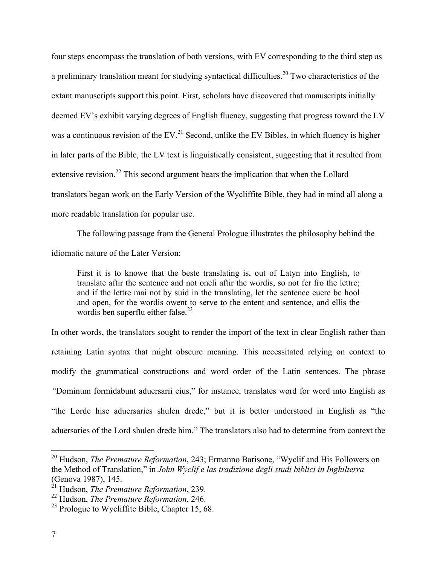four steps encompass the translation of both versions, with EV corresponding to the third step as a preliminary translation meant for studying syntactical difficulties.<sup>20</sup> Two characteristics of the extant manuscripts support this point. First, scholars have discovered that manuscripts initially deemed EV's exhibit varying degrees of English fluency, suggesting that progress toward the LV was a continuous revision of the EV.<sup>21</sup> Second, unlike the EV Bibles, in which fluency is higher in later parts of the Bible, the LV text is linguistically consistent, suggesting that it resulted from extensive revision.<sup>22</sup> This second argument bears the implication that when the Lollard translators began work on the Early Version of the Wycliffite Bible, they had in mind all along a more readable translation for popular use.

The following passage from the General Prologue illustrates the philosophy behind the idiomatic nature of the Later Version:

First it is to knowe that the beste translating is, out of Latyn into English, to translate aftir the sentence and not oneli aftir the wordis, so not fer fro the lettre; and if the lettre mai not by suid in the translating, let the sentence euere be hool and open, for the wordis owent to serve to the entent and sentence, and ellis the wordis ben superflu either false.<sup>23</sup>

In other words, the translators sought to render the import of the text in clear English rather than retaining Latin syntax that might obscure meaning. This necessitated relying on context to modify the grammatical constructions and word order of the Latin sentences. The phrase *"*Dominum formidabunt aduersarii eius," for instance, translates word for word into English as "the Lorde hise aduersaries shulen drede," but it is better understood in English as "the aduersaries of the Lord shulen drede him." The translators also had to determine from context the

 <sup>20</sup> Hudson, *The Premature Reformation*, 243; Ermanno Barisone, "Wyclif and His Followers on the Method of Translation," in *John Wyclif e las tradizione degli studi biblici in Inghilterra* (Genova 1987), 145.

<sup>21</sup> Hudson, *The Premature Reformation*, 239.

<sup>22</sup> Hudson, *The Premature Reformation*, 246.

 $^{23}$  Prologue to Wycliffite Bible, Chapter 15, 68.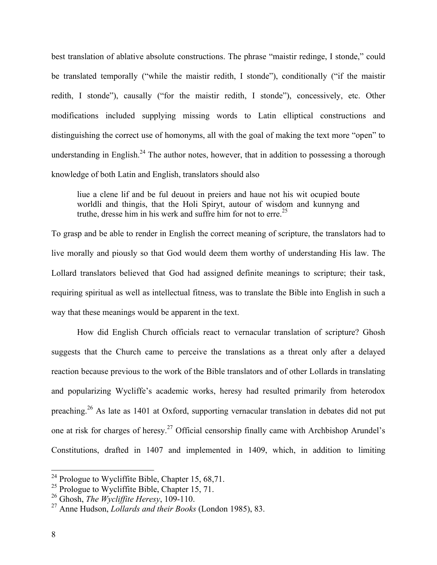best translation of ablative absolute constructions. The phrase "maistir redinge, I stonde," could be translated temporally ("while the maistir redith, I stonde"), conditionally ("if the maistir redith, I stonde"), causally ("for the maistir redith, I stonde"), concessively, etc. Other modifications included supplying missing words to Latin elliptical constructions and distinguishing the correct use of homonyms, all with the goal of making the text more "open" to understanding in English.<sup>24</sup> The author notes, however, that in addition to possessing a thorough knowledge of both Latin and English, translators should also

liue a clene lif and be ful deuout in preiers and haue not his wit ocupied boute worldli and thingis, that the Holi Spiryt, autour of wisdom and kunnyng and truthe, dresse him in his werk and suffre him for not to erre. 25

To grasp and be able to render in English the correct meaning of scripture, the translators had to live morally and piously so that God would deem them worthy of understanding His law. The Lollard translators believed that God had assigned definite meanings to scripture; their task, requiring spiritual as well as intellectual fitness, was to translate the Bible into English in such a way that these meanings would be apparent in the text.

How did English Church officials react to vernacular translation of scripture? Ghosh suggests that the Church came to perceive the translations as a threat only after a delayed reaction because previous to the work of the Bible translators and of other Lollards in translating and popularizing Wycliffe's academic works, heresy had resulted primarily from heterodox preaching.<sup>26</sup> As late as 1401 at Oxford, supporting vernacular translation in debates did not put one at risk for charges of heresy.<sup>27</sup> Official censorship finally came with Archbishop Arundel's Constitutions, drafted in 1407 and implemented in 1409, which, in addition to limiting

<sup>&</sup>lt;sup>24</sup> Prologue to Wycliffite Bible, Chapter 15, 68,71.

<sup>&</sup>lt;sup>25</sup> Prologue to Wycliffite Bible, Chapter 15, 71.

<sup>26</sup> Ghosh, *The Wycliffite Heresy*, 109-110.

<sup>27</sup> Anne Hudson, *Lollards and their Books* (London 1985), 83.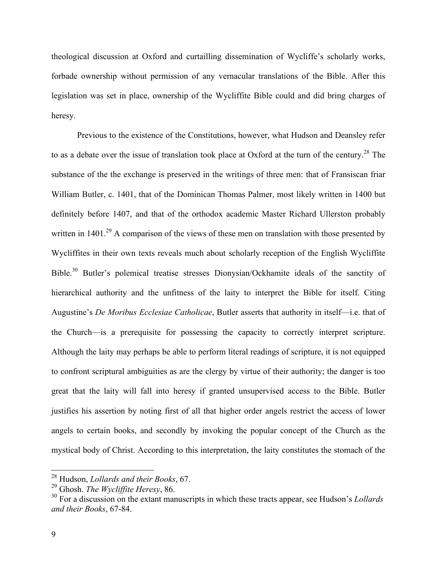theological discussion at Oxford and curtailling dissemination of Wycliffe's scholarly works, forbade ownership without permission of any vernacular translations of the Bible. After this legislation was set in place, ownership of the Wycliffite Bible could and did bring charges of heresy.

Previous to the existence of the Constitutions, however, what Hudson and Deansley refer to as a debate over the issue of translation took place at Oxford at the turn of the century.<sup>28</sup> The substance of the the exchange is preserved in the writings of three men: that of Fransiscan friar William Butler, c. 1401, that of the Dominican Thomas Palmer, most likely written in 1400 but definitely before 1407, and that of the orthodox academic Master Richard Ullerston probably written in  $1401<sup>29</sup>$  A comparison of the views of these men on translation with those presented by Wycliffites in their own texts reveals much about scholarly reception of the English Wycliffite Bible.<sup>30</sup> Butler's polemical treatise stresses Dionysian/Ockhamite ideals of the sanctity of hierarchical authority and the unfitness of the laity to interpret the Bible for itself. Citing Augustine's *De Moribus Ecclesiae Catholicae*, Butler asserts that authority in itself—i.e. that of the Church—is a prerequisite for possessing the capacity to correctly interpret scripture. Although the laity may perhaps be able to perform literal readings of scripture, it is not equipped to confront scriptural ambiguities as are the clergy by virtue of their authority; the danger is too great that the laity will fall into heresy if granted unsupervised access to the Bible. Butler justifies his assertion by noting first of all that higher order angels restrict the access of lower angels to certain books, and secondly by invoking the popular concept of the Church as the mystical body of Christ. According to this interpretation, the laity constitutes the stomach of the

 <sup>28</sup> Hudson, *Lollards and their Books*, 67.

<sup>29</sup> Ghosh. *The Wycliffite Heresy*, 86.

<sup>&</sup>lt;sup>30</sup> For a discussion on the extant manuscripts in which these tracts appear, see Hudson's *Lollards and their Books*, 67-84.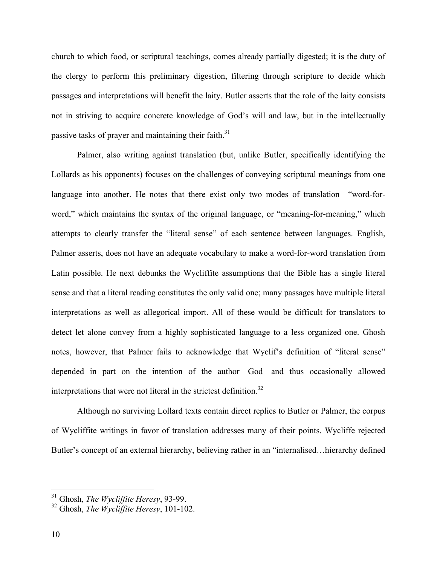church to which food, or scriptural teachings, comes already partially digested; it is the duty of the clergy to perform this preliminary digestion, filtering through scripture to decide which passages and interpretations will benefit the laity. Butler asserts that the role of the laity consists not in striving to acquire concrete knowledge of God's will and law, but in the intellectually passive tasks of prayer and maintaining their faith. $31$ 

Palmer, also writing against translation (but, unlike Butler, specifically identifying the Lollards as his opponents) focuses on the challenges of conveying scriptural meanings from one language into another. He notes that there exist only two modes of translation—"word-forword," which maintains the syntax of the original language, or "meaning-for-meaning," which attempts to clearly transfer the "literal sense" of each sentence between languages. English, Palmer asserts, does not have an adequate vocabulary to make a word-for-word translation from Latin possible. He next debunks the Wycliffite assumptions that the Bible has a single literal sense and that a literal reading constitutes the only valid one; many passages have multiple literal interpretations as well as allegorical import. All of these would be difficult for translators to detect let alone convey from a highly sophisticated language to a less organized one. Ghosh notes, however, that Palmer fails to acknowledge that Wyclif's definition of "literal sense" depended in part on the intention of the author—God—and thus occasionally allowed interpretations that were not literal in the strictest definition.<sup>32</sup>

Although no surviving Lollard texts contain direct replies to Butler or Palmer, the corpus of Wycliffite writings in favor of translation addresses many of their points. Wycliffe rejected Butler's concept of an external hierarchy, believing rather in an "internalised…hierarchy defined

 <sup>31</sup> Ghosh, *The Wycliffite Heresy*, 93-99.

<sup>32</sup> Ghosh, *The Wycliffite Heresy*, 101-102.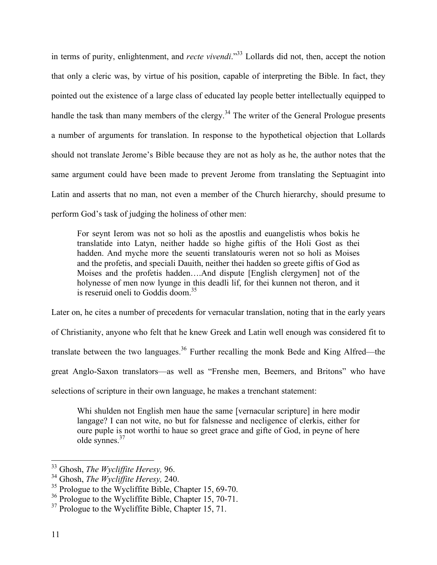in terms of purity, enlightenment, and *recte vivendi*."33 Lollards did not, then, accept the notion that only a cleric was, by virtue of his position, capable of interpreting the Bible. In fact, they pointed out the existence of a large class of educated lay people better intellectually equipped to handle the task than many members of the clergy.<sup>34</sup> The writer of the General Prologue presents a number of arguments for translation. In response to the hypothetical objection that Lollards should not translate Jerome's Bible because they are not as holy as he, the author notes that the same argument could have been made to prevent Jerome from translating the Septuagint into Latin and asserts that no man, not even a member of the Church hierarchy, should presume to perform God's task of judging the holiness of other men:

For seynt Ierom was not so holi as the apostlis and euangelistis whos bokis he translatide into Latyn, neither hadde so highe giftis of the Holi Gost as thei hadden. And myche more the seuenti translatouris weren not so holi as Moises and the profetis, and speciali Dauith, neither thei hadden so greete giftis of God as Moises and the profetis hadden….And dispute [English clergymen] not of the holynesse of men now lyunge in this deadli lif, for thei kunnen not theron, and it is reseruid oneli to Goddis doom. 35

Later on, he cites a number of precedents for vernacular translation, noting that in the early years of Christianity, anyone who felt that he knew Greek and Latin well enough was considered fit to translate between the two languages.<sup>36</sup> Further recalling the monk Bede and King Alfred—the great Anglo-Saxon translators—as well as "Frenshe men, Beemers, and Britons" who have selections of scripture in their own language, he makes a trenchant statement:

Whi shulden not English men haue the same [vernacular scripture] in here modir langage? I can not wite, no but for falsnesse and necligence of clerkis, either for oure puple is not worthi to haue so greet grace and gifte of God, in peyne of here olde synnes. 37

 <sup>33</sup> Ghosh, *The Wycliffite Heresy,* 96.

<sup>34</sup> Ghosh, *The Wycliffite Heresy,* 240.

<sup>&</sup>lt;sup>35</sup> Prologue to the Wycliffite Bible, Chapter 15, 69-70.

 $36$  Prologue to the Wycliffite Bible, Chapter 15, 70-71.

 $37$  Prologue to the Wycliffite Bible, Chapter 15, 71.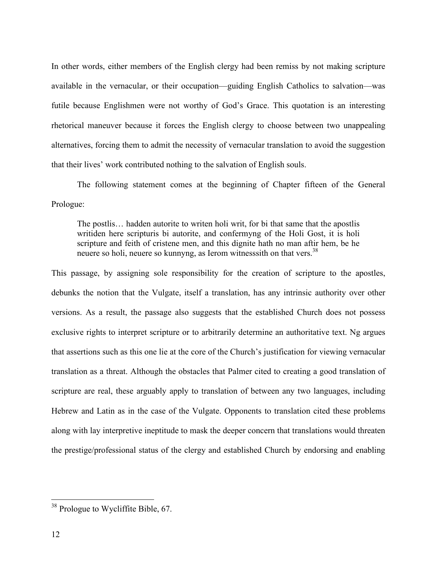In other words, either members of the English clergy had been remiss by not making scripture available in the vernacular, or their occupation—guiding English Catholics to salvation—was futile because Englishmen were not worthy of God's Grace. This quotation is an interesting rhetorical maneuver because it forces the English clergy to choose between two unappealing alternatives, forcing them to admit the necessity of vernacular translation to avoid the suggestion that their lives' work contributed nothing to the salvation of English souls.

The following statement comes at the beginning of Chapter fifteen of the General Prologue:

The postlis… hadden autorite to writen holi writ, for bi that same that the apostlis writiden here scripturis bi autorite, and confermyng of the Holi Gost, it is holi scripture and feith of cristene men, and this dignite hath no man aftir hem, be he neuere so holi, neuere so kunnyng, as Ierom witnesssith on that vers.<sup>38</sup>

This passage, by assigning sole responsibility for the creation of scripture to the apostles, debunks the notion that the Vulgate, itself a translation, has any intrinsic authority over other versions. As a result, the passage also suggests that the established Church does not possess exclusive rights to interpret scripture or to arbitrarily determine an authoritative text. Ng argues that assertions such as this one lie at the core of the Church's justification for viewing vernacular translation as a threat. Although the obstacles that Palmer cited to creating a good translation of scripture are real, these arguably apply to translation of between any two languages, including Hebrew and Latin as in the case of the Vulgate. Opponents to translation cited these problems along with lay interpretive ineptitude to mask the deeper concern that translations would threaten the prestige/professional status of the clergy and established Church by endorsing and enabling

<sup>&</sup>lt;sup>38</sup> Prologue to Wycliffite Bible, 67.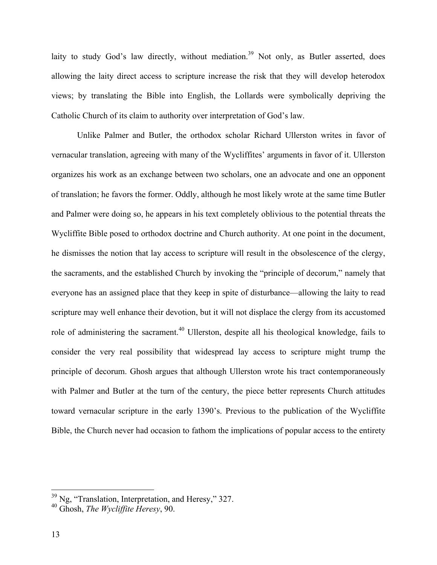laity to study God's law directly, without mediation.<sup>39</sup> Not only, as Butler asserted, does allowing the laity direct access to scripture increase the risk that they will develop heterodox views; by translating the Bible into English, the Lollards were symbolically depriving the Catholic Church of its claim to authority over interpretation of God's law.

Unlike Palmer and Butler, the orthodox scholar Richard Ullerston writes in favor of vernacular translation, agreeing with many of the Wycliffites' arguments in favor of it. Ullerston organizes his work as an exchange between two scholars, one an advocate and one an opponent of translation; he favors the former. Oddly, although he most likely wrote at the same time Butler and Palmer were doing so, he appears in his text completely oblivious to the potential threats the Wycliffite Bible posed to orthodox doctrine and Church authority. At one point in the document, he dismisses the notion that lay access to scripture will result in the obsolescence of the clergy, the sacraments, and the established Church by invoking the "principle of decorum," namely that everyone has an assigned place that they keep in spite of disturbance—allowing the laity to read scripture may well enhance their devotion, but it will not displace the clergy from its accustomed role of administering the sacrament.<sup>40</sup> Ullerston, despite all his theological knowledge, fails to consider the very real possibility that widespread lay access to scripture might trump the principle of decorum. Ghosh argues that although Ullerston wrote his tract contemporaneously with Palmer and Butler at the turn of the century, the piece better represents Church attitudes toward vernacular scripture in the early 1390's. Previous to the publication of the Wycliffite Bible, the Church never had occasion to fathom the implications of popular access to the entirety

 <sup>39</sup> Ng, "Translation, Interpretation, and Heresy," 327. 40 Ghosh, *The Wycliffite Heresy*, 90.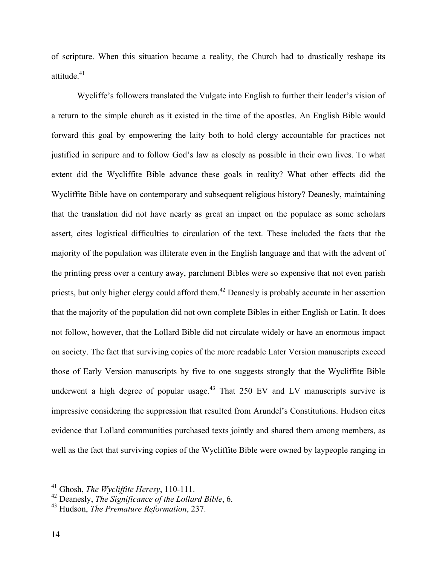of scripture. When this situation became a reality, the Church had to drastically reshape its attitude. 41

Wycliffe's followers translated the Vulgate into English to further their leader's vision of a return to the simple church as it existed in the time of the apostles. An English Bible would forward this goal by empowering the laity both to hold clergy accountable for practices not justified in scripure and to follow God's law as closely as possible in their own lives. To what extent did the Wycliffite Bible advance these goals in reality? What other effects did the Wycliffite Bible have on contemporary and subsequent religious history? Deanesly, maintaining that the translation did not have nearly as great an impact on the populace as some scholars assert, cites logistical difficulties to circulation of the text. These included the facts that the majority of the population was illiterate even in the English language and that with the advent of the printing press over a century away, parchment Bibles were so expensive that not even parish priests, but only higher clergy could afford them.<sup>42</sup> Deanesly is probably accurate in her assertion that the majority of the population did not own complete Bibles in either English or Latin. It does not follow, however, that the Lollard Bible did not circulate widely or have an enormous impact on society. The fact that surviving copies of the more readable Later Version manuscripts exceed those of Early Version manuscripts by five to one suggests strongly that the Wycliffite Bible underwent a high degree of popular usage.<sup>43</sup> That 250 EV and LV manuscripts survive is impressive considering the suppression that resulted from Arundel's Constitutions. Hudson cites evidence that Lollard communities purchased texts jointly and shared them among members, as well as the fact that surviving copies of the Wycliffite Bible were owned by laypeople ranging in

 <sup>41</sup> Ghosh, *The Wycliffite Heresy*, 110-111.

<sup>42</sup> Deanesly, *The Significance of the Lollard Bible*, 6.

<sup>43</sup> Hudson, *The Premature Reformation*, 237.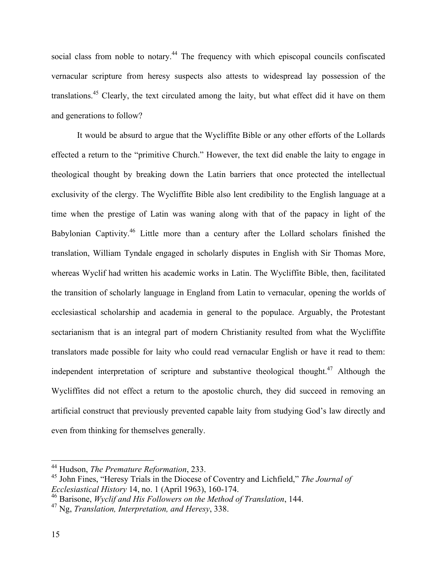social class from noble to notary.<sup>44</sup> The frequency with which episcopal councils confiscated vernacular scripture from heresy suspects also attests to widespread lay possession of the translations.<sup>45</sup> Clearly, the text circulated among the laity, but what effect did it have on them and generations to follow?

It would be absurd to argue that the Wycliffite Bible or any other efforts of the Lollards effected a return to the "primitive Church." However, the text did enable the laity to engage in theological thought by breaking down the Latin barriers that once protected the intellectual exclusivity of the clergy. The Wycliffite Bible also lent credibility to the English language at a time when the prestige of Latin was waning along with that of the papacy in light of the Babylonian Captivity.<sup>46</sup> Little more than a century after the Lollard scholars finished the translation, William Tyndale engaged in scholarly disputes in English with Sir Thomas More, whereas Wyclif had written his academic works in Latin. The Wycliffite Bible, then, facilitated the transition of scholarly language in England from Latin to vernacular, opening the worlds of ecclesiastical scholarship and academia in general to the populace. Arguably, the Protestant sectarianism that is an integral part of modern Christianity resulted from what the Wycliffite translators made possible for laity who could read vernacular English or have it read to them: independent interpretation of scripture and substantive theological thought.<sup>47</sup> Although the Wycliffites did not effect a return to the apostolic church, they did succeed in removing an artificial construct that previously prevented capable laity from studying God's law directly and even from thinking for themselves generally.

 <sup>44</sup> Hudson, *The Premature Reformation*, 233.

<sup>45</sup> John Fines, "Heresy Trials in the Diocese of Coventry and Lichfield," *The Journal of Ecclesiastical History* 14, no. 1 (April 1963), 160-174.

<sup>46</sup> Barisone, *Wyclif and His Followers on the Method of Translation*, 144.

<sup>47</sup> Ng, *Translation, Interpretation, and Heresy*, 338.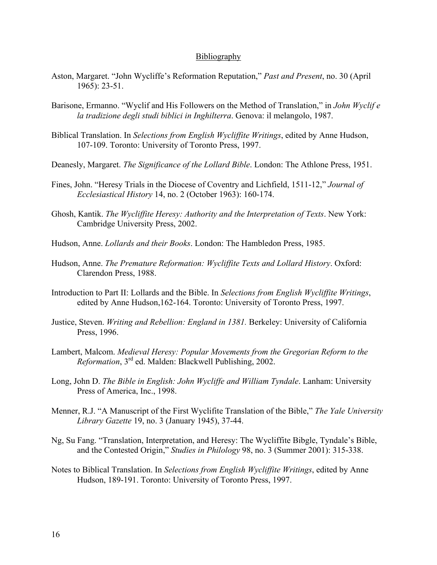## Bibliography

- Aston, Margaret. "John Wycliffe's Reformation Reputation," *Past and Present*, no. 30 (April 1965): 23-51.
- Barisone, Ermanno. "Wyclif and His Followers on the Method of Translation," in *John Wyclif e la tradizione degli studi biblici in Inghilterra*. Genova: il melangolo, 1987.
- Biblical Translation. In *Selections from English Wycliffite Writings*, edited by Anne Hudson, 107-109. Toronto: University of Toronto Press, 1997.
- Deanesly, Margaret. *The Significance of the Lollard Bible*. London: The Athlone Press, 1951.
- Fines, John. "Heresy Trials in the Diocese of Coventry and Lichfield, 1511-12," *Journal of Ecclesiastical History* 14, no. 2 (October 1963): 160-174.
- Ghosh, Kantik. *The Wycliffite Heresy: Authority and the Interpretation of Texts*. New York: Cambridge University Press, 2002.
- Hudson, Anne. *Lollards and their Books*. London: The Hambledon Press, 1985.
- Hudson, Anne. *The Premature Reformation: Wycliffite Texts and Lollard History*. Oxford: Clarendon Press, 1988.
- Introduction to Part II: Lollards and the Bible. In *Selections from English Wycliffite Writings*, edited by Anne Hudson,162-164. Toronto: University of Toronto Press, 1997.
- Justice, Steven. *Writing and Rebellion: England in 1381.* Berkeley: University of California Press, 1996.
- Lambert, Malcom. *Medieval Heresy: Popular Movements from the Gregorian Reform to the Reformation*, 3rd ed. Malden: Blackwell Publishing, 2002.
- Long, John D. *The Bible in English: John Wycliffe and William Tyndale*. Lanham: University Press of America, Inc., 1998.
- Menner, R.J. "A Manuscript of the First Wyclifite Translation of the Bible," *The Yale University Library Gazette* 19, no. 3 (January 1945), 37-44.
- Ng, Su Fang. "Translation, Interpretation, and Heresy: The Wycliffite Bibgle, Tyndale's Bible, and the Contested Origin," *Studies in Philology* 98, no. 3 (Summer 2001): 315-338.
- Notes to Biblical Translation. In *Selections from English Wycliffite Writings*, edited by Anne Hudson, 189-191. Toronto: University of Toronto Press, 1997.